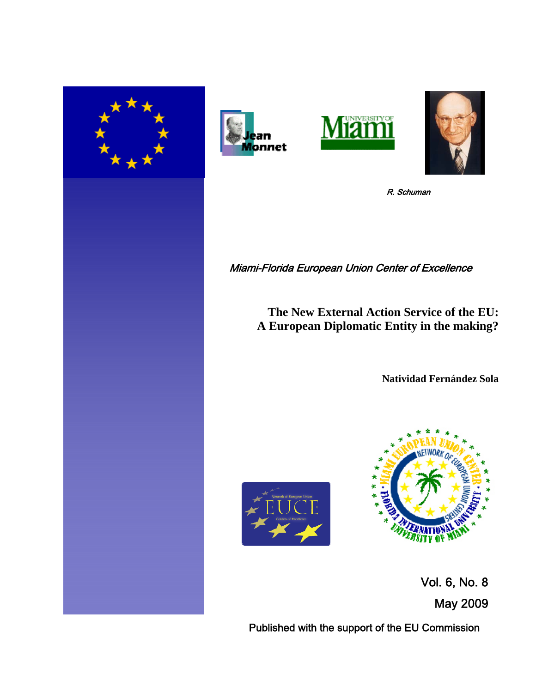







R. Schuman

# Miami-Florida European Union Center of Excellence

**The New External Action Service of the EU: A European Diplomatic Entity in the making?**

**Natividad Fernández Sola**





 Vol. 6, No. 8 May 2009

Published with the support of the EU Commission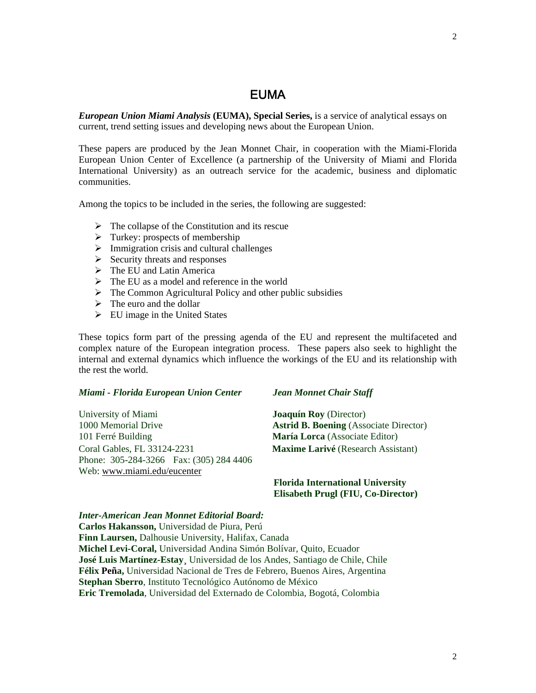# EUMA

*European Union Miami Analysis* **(EUMA), Special Series,** is a service of analytical essays on current, trend setting issues and developing news about the European Union.

These papers are produced by the Jean Monnet Chair, in cooperation with the Miami-Florida European Union Center of Excellence (a partnership of the University of Miami and Florida International University) as an outreach service for the academic, business and diplomatic communities.

Among the topics to be included in the series, the following are suggested:

- $\triangleright$  The collapse of the Constitution and its rescue
- $\triangleright$  Turkey: prospects of membership
- $\triangleright$  Immigration crisis and cultural challenges
- $\triangleright$  Security threats and responses
- $\triangleright$  The EU and Latin America
- $\triangleright$  The EU as a model and reference in the world
- $\triangleright$  The Common Agricultural Policy and other public subsidies
- $\triangleright$  The euro and the dollar
- EU image in the United States

These topics form part of the pressing agenda of the EU and represent the multifaceted and complex nature of the European integration process. These papers also seek to highlight the internal and external dynamics which influence the workings of the EU and its relationship with the rest the world.

#### *Miami - Florida European Union Center Jean Monnet Chair Staff*

University of Miami **Joaquín Roy** (Director) 1000 Memorial Drive **Astrid B. Boening** (Associate Director) 101 Ferré Building **María Lorca** (Associate Editor) Coral Gables, FL 33124-2231 **Maxime Larivé** (Research Assistant) Phone: 305-284-3266 Fax: (305) 284 4406 Web: www.miami.edu/eucenter

 **Florida International University Elisabeth Prugl (FIU, Co-Director)** 

#### *Inter-American Jean Monnet Editorial Board:*

**Carlos Hakansson,** Universidad de Piura, Perú **Finn Laursen,** Dalhousie University, Halifax, Canada **Michel Levi-Coral,** Universidad Andina Simón Bolívar, Quito, Ecuador **José Luis Martínez-Estay¸** Universidad de los Andes, Santiago de Chile, Chile **Félix Peña,** Universidad Nacional de Tres de Febrero, Buenos Aires, Argentina **Stephan Sberro**, Instituto Tecnológico Autónomo de México **Eric Tremolada**, Universidad del Externado de Colombia, Bogotá, Colombia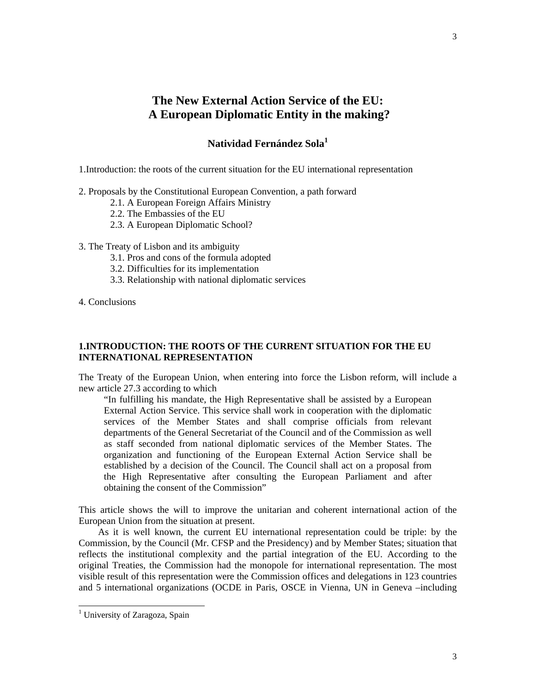# **The New External Action Service of the EU: A European Diplomatic Entity in the making?**

# **Natividad Fernández Sola1**

1.Introduction: the roots of the current situation for the EU international representation

- 2. Proposals by the Constitutional European Convention, a path forward
	- 2.1. A European Foreign Affairs Ministry
	- 2.2. The Embassies of the EU
	- 2.3. A European Diplomatic School?
- 3. The Treaty of Lisbon and its ambiguity
	- 3.1. Pros and cons of the formula adopted
	- 3.2. Difficulties for its implementation
	- 3.3. Relationship with national diplomatic services
- 4. Conclusions

## **1.INTRODUCTION: THE ROOTS OF THE CURRENT SITUATION FOR THE EU INTERNATIONAL REPRESENTATION**

The Treaty of the European Union, when entering into force the Lisbon reform, will include a new article 27.3 according to which

"In fulfilling his mandate, the High Representative shall be assisted by a European External Action Service. This service shall work in cooperation with the diplomatic services of the Member States and shall comprise officials from relevant departments of the General Secretariat of the Council and of the Commission as well as staff seconded from national diplomatic services of the Member States. The organization and functioning of the European External Action Service shall be established by a decision of the Council. The Council shall act on a proposal from the High Representative after consulting the European Parliament and after obtaining the consent of the Commission"

This article shows the will to improve the unitarian and coherent international action of the European Union from the situation at present.

 As it is well known, the current EU international representation could be triple: by the Commission, by the Council (Mr. CFSP and the Presidency) and by Member States; situation that reflects the institutional complexity and the partial integration of the EU. According to the original Treaties, the Commission had the monopole for international representation. The most visible result of this representation were the Commission offices and delegations in 123 countries and 5 international organizations (OCDE in Paris, OSCE in Vienna, UN in Geneva –including

<sup>&</sup>lt;sup>1</sup> University of Zaragoza, Spain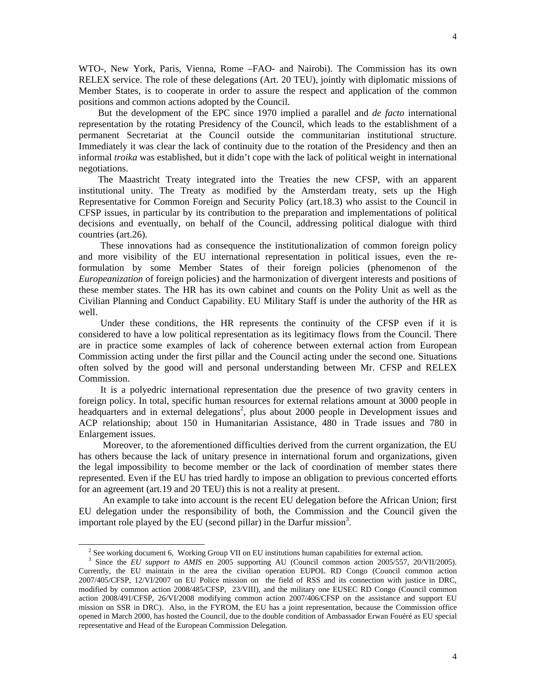But the development of the EPC since 1970 implied a parallel and *de facto* international representation by the rotating Presidency of the Council, which leads to the establishment of a permanent Secretariat at the Council outside the communitarian institutional structure. Immediately it was clear the lack of continuity due to the rotation of the Presidency and then an informal *troika* was established, but it didn't cope with the lack of political weight in international negotiations.

 The Maastricht Treaty integrated into the Treaties the new CFSP, with an apparent institutional unity. The Treaty as modified by the Amsterdam treaty, sets up the High Representative for Common Foreign and Security Policy (art.18.3) who assist to the Council in CFSP issues, in particular by its contribution to the preparation and implementations of political decisions and eventually, on behalf of the Council, addressing political dialogue with third countries (art.26).

 These innovations had as consequence the institutionalization of common foreign policy and more visibility of the EU international representation in political issues, even the reformulation by some Member States of their foreign policies (phenomenon of the *Europeanization* of foreign policies) and the harmonization of divergent interests and positions of these member states. The HR has its own cabinet and counts on the Polity Unit as well as the Civilian Planning and Conduct Capability. EU Military Staff is under the authority of the HR as well.

 Under these conditions, the HR represents the continuity of the CFSP even if it is considered to have a low political representation as its legitimacy flows from the Council. There are in practice some examples of lack of coherence between external action from European Commission acting under the first pillar and the Council acting under the second one. Situations often solved by the good will and personal understanding between Mr. CFSP and RELEX Commission.

 It is a polyedric international representation due the presence of two gravity centers in foreign policy. In total, specific human resources for external relations amount at 3000 people in headquarters and in external delegations<sup>2</sup>, plus about 2000 people in Development issues and ACP relationship; about 150 in Humanitarian Assistance, 480 in Trade issues and 780 in Enlargement issues.

 Moreover, to the aforementioned difficulties derived from the current organization, the EU has others because the lack of unitary presence in international forum and organizations, given the legal impossibility to become member or the lack of coordination of member states there represented. Even if the EU has tried hardly to impose an obligation to previous concerted efforts for an agreement (art.19 and 20 TEU) this is not a reality at present.

 An example to take into account is the recent EU delegation before the African Union; first EU delegation under the responsibility of both, the Commission and the Council given the important role played by the EU (second pillar) in the Darfur mission<sup>3</sup>.

<sup>&</sup>lt;sup>2</sup> See working document 6, Working Group VII on EU institutions human capabilities for external action.

<sup>&</sup>lt;sup>3</sup> Since the *EU support to AMIS* en 2005 supporting AU (Council common action 2005/557, 20/VII/2005). Currently, the EU maintain in the area the civilian operation EUPOL RD Congo (Council common action 2007/405/CFSP, 12/VI/2007 on EU Police mission on the field of RSS and its connection with justice in DRC, modified by common action 2008/485/CFSP, 23/VIII), and the military one EUSEC RD Congo (Council common action 2008/491/CFSP, 26/VI/2008 modifying common action 2007/406/CFSP on the assistance and support EU mission on SSR in DRC). Also, in the FYROM, the EU has a joint representation, because the Commission office opened in March 2000, has hosted the Council, due to the double condition of Ambassador Erwan Fouéré as EU special representative and Head of the European Commission Delegation.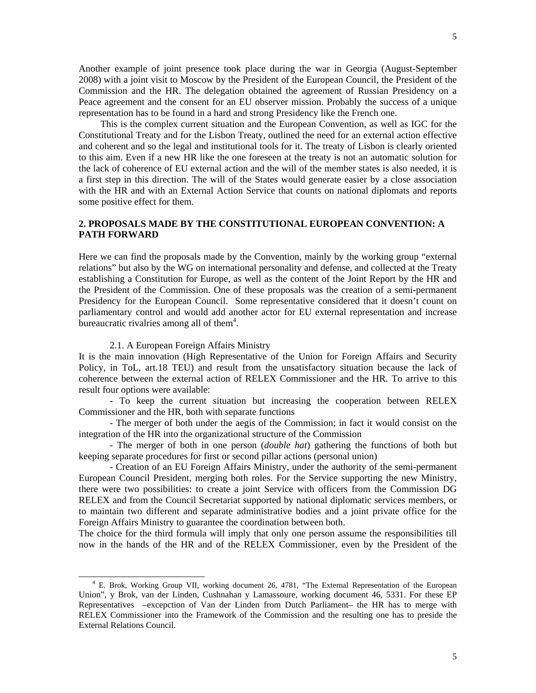Another example of joint presence took place during the war in Georgia (August-September 2008) with a joint visit to Moscow by the President of the European Council, the President of the Commission and the HR. The delegation obtained the agreement of Russian Presidency on a Peace agreement and the consent for an EU observer mission. Probably the success of a unique representation has to be found in a hard and strong Presidency like the French one.

 This is the complex current situation and the European Convention, as well as IGC for the Constitutional Treaty and for the Lisbon Treaty, outlined the need for an external action effective and coherent and so the legal and institutional tools for it. The treaty of Lisbon is clearly oriented to this aim. Even if a new HR like the one foreseen at the treaty is not an automatic solution for the lack of coherence of EU external action and the will of the member states is also needed, it is a first step in this direction. The will of the States would generate easier by a close association with the HR and with an External Action Service that counts on national diplomats and reports some positive effect for them.

# **2. PROPOSALS MADE BY THE CONSTITUTIONAL EUROPEAN CONVENTION: A PATH FORWARD**

Here we can find the proposals made by the Convention, mainly by the working group "external relations" but also by the WG on international personality and defense, and collected at the Treaty establishing a Constitution for Europe, as well as the content of the Joint Report by the HR and the President of the Commission. One of these proposals was the creation of a semi-permanent Presidency for the European Council. Some representative considered that it doesn't count on parliamentary control and would add another actor for EU external representation and increase bureaucratic rivalries among all of them $4$ .

#### 2.1. A European Foreign Affairs Ministry

 $\overline{a}$ 

It is the main innovation (High Representative of the Union for Foreign Affairs and Security Policy, in ToL, art.18 TEU) and result from the unsatisfactory situation because the lack of coherence between the external action of RELEX Commissioner and the HR. To arrive to this result four options were available:

- To keep the current situation but increasing the cooperation between RELEX Commissioner and the HR, both with separate functions

- The merger of both under the aegis of the Commission; in fact it would consist on the integration of the HR into the organizational structure of the Commission

- The merger of both in one person (*double hat*) gathering the functions of both but keeping separate procedures for first or second pillar actions (personal union)

- Creation of an EU Foreign Affairs Ministry, under the authority of the semi-permanent European Council President, merging both roles. For the Service supporting the new Ministry, there were two possibilities: to create a joint Service with officers from the Commission DG RELEX and from the Council Secretariat supported by national diplomatic services members, or to maintain two different and separate administrative bodies and a joint private office for the Foreign Affairs Ministry to guarantee the coordination between both.

The choice for the third formula will imply that only one person assume the responsibilities till now in the hands of the HR and of the RELEX Commissioner, even by the President of the

<sup>&</sup>lt;sup>4</sup> E. Brok, Working Group VII, working document 26, 4781, "The External Representation of the European Union", y Brok, van der Linden, Cushnahan y Lamassoure, working document 46, 5331. For these EP Representatives –excepction of Van der Linden from Dutch Parliament– the HR has to merge with RELEX Commissioner into the Framework of the Commission and the resulting one has to preside the External Relations Council.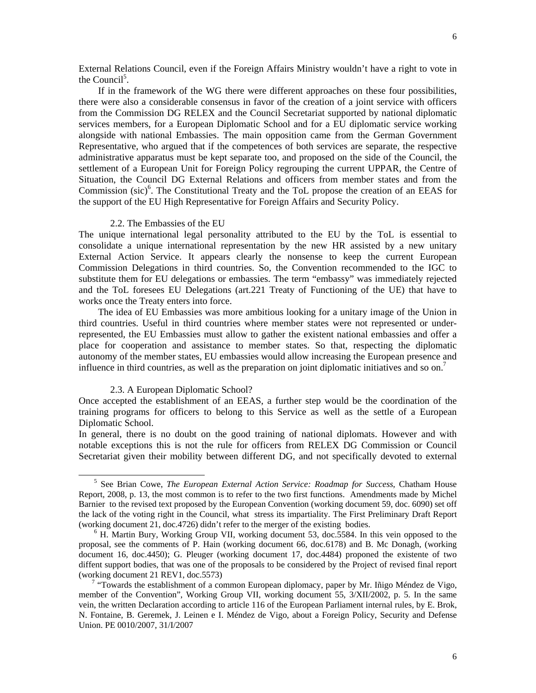External Relations Council, even if the Foreign Affairs Ministry wouldn't have a right to vote in the Council<sup>5</sup>.

 If in the framework of the WG there were different approaches on these four possibilities, there were also a considerable consensus in favor of the creation of a joint service with officers from the Commission DG RELEX and the Council Secretariat supported by national diplomatic services members, for a European Diplomatic School and for a EU diplomatic service working alongside with national Embassies. The main opposition came from the German Government Representative, who argued that if the competences of both services are separate, the respective administrative apparatus must be kept separate too, and proposed on the side of the Council, the settlement of a European Unit for Foreign Policy regrouping the current UPPAR, the Centre of Situation, the Council DG External Relations and officers from member states and from the Commission (sic)<sup>6</sup>. The Constitutional Treaty and the ToL propose the creation of an EEAS for the support of the EU High Representative for Foreign Affairs and Security Policy.

#### 2.2. The Embassies of the EU

The unique international legal personality attributed to the EU by the ToL is essential to consolidate a unique international representation by the new HR assisted by a new unitary External Action Service. It appears clearly the nonsense to keep the current European Commission Delegations in third countries. So, the Convention recommended to the IGC to substitute them for EU delegations or embassies. The term "embassy" was immediately rejected and the ToL foresees EU Delegations (art.221 Treaty of Functioning of the UE) that have to works once the Treaty enters into force.

 The idea of EU Embassies was more ambitious looking for a unitary image of the Union in third countries. Useful in third countries where member states were not represented or underrepresented, the EU Embassies must allow to gather the existent national embassies and offer a place for cooperation and assistance to member states. So that, respecting the diplomatic autonomy of the member states, EU embassies would allow increasing the European presence and influence in third countries, as well as the preparation on joint diplomatic initiatives and so on.<sup>7</sup>

#### 2.3. A European Diplomatic School?

 $\overline{a}$ 

Once accepted the establishment of an EEAS, a further step would be the coordination of the training programs for officers to belong to this Service as well as the settle of a European Diplomatic School.

In general, there is no doubt on the good training of national diplomats. However and with notable exceptions this is not the rule for officers from RELEX DG Commission or Council Secretariat given their mobility between different DG, and not specifically devoted to external

<sup>&</sup>lt;sup>5</sup> See Brian Cowe, *The European External Action Service: Roadmap for Success*, Chatham House Report, 2008, p. 13, the most common is to refer to the two first functions. Amendments made by Michel Barnier to the revised text proposed by the European Convention (working document 59, doc. 6090) set off the lack of the voting right in the Council, what stress its impartiality. The First Preliminary Draft Report (working document 21, doc.4726) didn't refer to the merger of the existing bodies.

<sup>&</sup>lt;sup>6</sup> H. Martin Bury, Working Group VII, working document 53, doc.5584. In this vein opposed to the proposal, see the comments of P. Hain (working document 66, doc.6178) and B. Mc Donagh, (working document 16, doc.4450); G. Pleuger (working document 17, doc.4484) proponed the existente of two diffent support bodies, that was one of the proposals to be considered by the Project of revised final report (working document 21 REV1, doc.5573)

<sup>&</sup>lt;sup>7</sup> "Towards the establishment of a common European diplomacy, paper by Mr. Iñigo Méndez de Vigo, member of the Convention", Working Group VII, working document 55, 3/XII/2002, p. 5. In the same vein, the written Declaration according to article 116 of the European Parliament internal rules, by E. Brok, N. Fontaine, B. Geremek, J. Leinen e I. Méndez de Vigo, about a Foreign Policy, Security and Defense Union. PE 0010/2007, 31/I/2007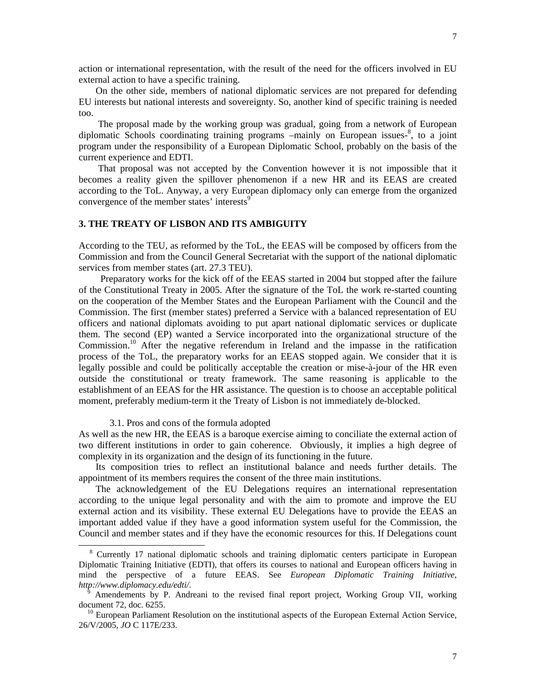action or international representation, with the result of the need for the officers involved in EU external action to have a specific training.

 On the other side, members of national diplomatic services are not prepared for defending EU interests but national interests and sovereignty. So, another kind of specific training is needed too.

 The proposal made by the working group was gradual, going from a network of European diplomatic Schools coordinating training programs -mainly on European issues-<sup>8</sup>, to a joint program under the responsibility of a European Diplomatic School, probably on the basis of the current experience and EDTI.

 That proposal was not accepted by the Convention however it is not impossible that it becomes a reality given the spillover phenomenon if a new HR and its EEAS are created according to the ToL. Anyway, a very European diplomacy only can emerge from the organized convergence of the member states' interests<sup>9</sup>

## **3. THE TREATY OF LISBON AND ITS AMBIGUITY**

According to the TEU, as reformed by the ToL, the EEAS will be composed by officers from the Commission and from the Council General Secretariat with the support of the national diplomatic services from member states (art. 27.3 TEU).

 Preparatory works for the kick off of the EEAS started in 2004 but stopped after the failure of the Constitutional Treaty in 2005. After the signature of the ToL the work re-started counting on the cooperation of the Member States and the European Parliament with the Council and the Commission. The first (member states) preferred a Service with a balanced representation of EU officers and national diplomats avoiding to put apart national diplomatic services or duplicate them. The second (EP) wanted a Service incorporated into the organizational structure of the Commission.<sup>10</sup> After the negative referendum in Ireland and the impasse in the ratification process of the ToL, the preparatory works for an EEAS stopped again. We consider that it is legally possible and could be politically acceptable the creation or mise-à-jour of the HR even outside the constitutional or treaty framework. The same reasoning is applicable to the establishment of an EEAS for the HR assistance. The question is to choose an acceptable political moment, preferably medium-term it the Treaty of Lisbon is not immediately de-blocked.

#### 3.1. Pros and cons of the formula adopted

 $\overline{a}$ 

As well as the new HR, the EEAS is a baroque exercise aiming to conciliate the external action of two different institutions in order to gain coherence. Obviously, it implies a high degree of complexity in its organization and the design of its functioning in the future.

 Its composition tries to reflect an institutional balance and needs further details. The appointment of its members requires the consent of the three main institutions.

 The acknowledgement of the EU Delegations requires an international representation according to the unique legal personality and with the aim to promote and improve the EU external action and its visibility. These external EU Delegations have to provide the EEAS an important added value if they have a good information system useful for the Commission, the Council and member states and if they have the economic resources for this. If Delegations count

<sup>&</sup>lt;sup>8</sup> Currently 17 national diplomatic schools and training diplomatic centers participate in European Diplomatic Training Initiative (EDTI), that offers its courses to national and European officers having in mind the perspective of a future EEAS. See *European Diplomatic Training Initiative*, *http://www.diplomacy.edu/edti/*.

<sup>9</sup> Amendements by P. Andreani to the revised final report project, Working Group VII, working document 72, doc. 6255.

<sup>&</sup>lt;sup>10</sup> European Parliament Resolution on the institutional aspects of the European External Action Service, 26/V/2005, *JO* C 117E/233.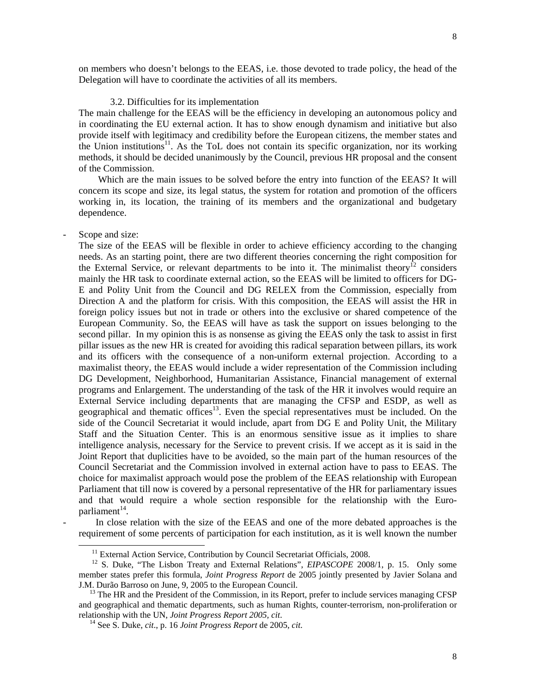on members who doesn't belongs to the EEAS, i.e. those devoted to trade policy, the head of the Delegation will have to coordinate the activities of all its members.

### 3.2. Difficulties for its implementation

The main challenge for the EEAS will be the efficiency in developing an autonomous policy and in coordinating the EU external action. It has to show enough dynamism and initiative but also provide itself with legitimacy and credibility before the European citizens, the member states and the Union institutions<sup>11</sup>. As the ToL does not contain its specific organization, nor its working methods, it should be decided unanimously by the Council, previous HR proposal and the consent of the Commission.

 Which are the main issues to be solved before the entry into function of the EEAS? It will concern its scope and size, its legal status, the system for rotation and promotion of the officers working in, its location, the training of its members and the organizational and budgetary dependence.

#### Scope and size:

 $\overline{a}$ 

The size of the EEAS will be flexible in order to achieve efficiency according to the changing needs. As an starting point, there are two different theories concerning the right composition for the External Service, or relevant departments to be into it. The minimalist theory<sup>12</sup> considers mainly the HR task to coordinate external action, so the EEAS will be limited to officers for DG-E and Polity Unit from the Council and DG RELEX from the Commission, especially from Direction A and the platform for crisis. With this composition, the EEAS will assist the HR in foreign policy issues but not in trade or others into the exclusive or shared competence of the European Community. So, the EEAS will have as task the support on issues belonging to the second pillar. In my opinion this is as nonsense as giving the EEAS only the task to assist in first pillar issues as the new HR is created for avoiding this radical separation between pillars, its work and its officers with the consequence of a non-uniform external projection. According to a maximalist theory, the EEAS would include a wider representation of the Commission including DG Development, Neighborhood, Humanitarian Assistance, Financial management of external programs and Enlargement. The understanding of the task of the HR it involves would require an External Service including departments that are managing the CFSP and ESDP, as well as geographical and thematic offices<sup>13</sup>. Even the special representatives must be included. On the side of the Council Secretariat it would include, apart from DG E and Polity Unit, the Military Staff and the Situation Center. This is an enormous sensitive issue as it implies to share intelligence analysis, necessary for the Service to prevent crisis. If we accept as it is said in the Joint Report that duplicities have to be avoided, so the main part of the human resources of the Council Secretariat and the Commission involved in external action have to pass to EEAS. The choice for maximalist approach would pose the problem of the EEAS relationship with European Parliament that till now is covered by a personal representative of the HR for parliamentary issues and that would require a whole section responsible for the relationship with the Europarliament $14$ .

In close relation with the size of the EEAS and one of the more debated approaches is the requirement of some percents of participation for each institution, as it is well known the number

<sup>&</sup>lt;sup>11</sup> External Action Service, Contribution by Council Secretariat Officials, 2008.

12 S. Duke, "The Lisbon Treaty and External Relations", *EIPASCOPE* 2008/1, p. 15. Only some member states prefer this formula, *Joint Progress Report* de 2005 jointly presented by Javier Solana and J.M. Durão Barroso on June, 9, 2005 to the European Council.

 $<sup>13</sup>$  The HR and the President of the Commission, in its Report, prefer to include services managing CFSP</sup> and geographical and thematic departments, such as human Rights, counter-terrorism, non-proliferation or relationship with the UN, *Joint Progress Report 2005, cit*.

14 See S. Duke, *cit*., p. 16 *Joint Progress Report* de 2005, *cit*.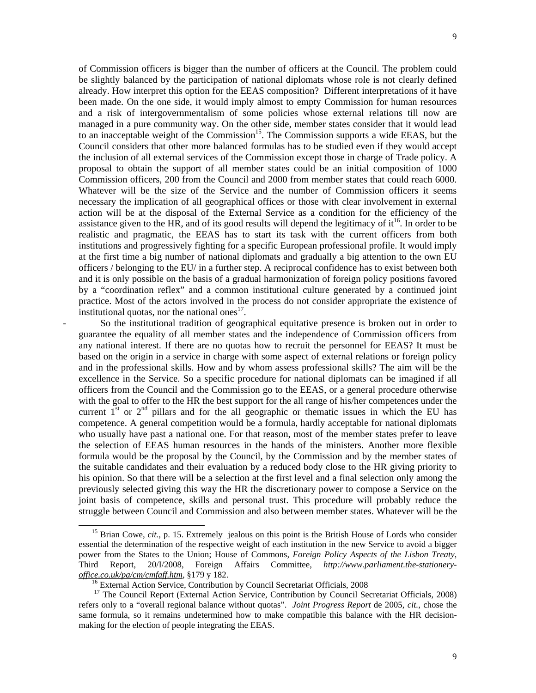of Commission officers is bigger than the number of officers at the Council. The problem could be slightly balanced by the participation of national diplomats whose role is not clearly defined already. How interpret this option for the EEAS composition? Different interpretations of it have been made. On the one side, it would imply almost to empty Commission for human resources and a risk of intergovernmentalism of some policies whose external relations till now are managed in a pure community way. On the other side, member states consider that it would lead to an inacceptable weight of the Commission<sup>15</sup>. The Commission supports a wide EEAS, but the Council considers that other more balanced formulas has to be studied even if they would accept the inclusion of all external services of the Commission except those in charge of Trade policy. A proposal to obtain the support of all member states could be an initial composition of 1000 Commission officers, 200 from the Council and 2000 from member states that could reach 6000. Whatever will be the size of the Service and the number of Commission officers it seems necessary the implication of all geographical offices or those with clear involvement in external action will be at the disposal of the External Service as a condition for the efficiency of the assistance given to the HR, and of its good results will depend the legitimacy of  $it^{16}$ . In order to be realistic and pragmatic, the EEAS has to start its task with the current officers from both institutions and progressively fighting for a specific European professional profile. It would imply at the first time a big number of national diplomats and gradually a big attention to the own EU officers / belonging to the EU/ in a further step. A reciprocal confidence has to exist between both and it is only possible on the basis of a gradual harmonization of foreign policy positions favored by a "coordination reflex" and a common institutional culture generated by a continued joint practice. Most of the actors involved in the process do not consider appropriate the existence of institutional quotas, nor the national ones<sup>17</sup>.

- So the institutional tradition of geographical equitative presence is broken out in order to guarantee the equality of all member states and the independence of Commission officers from any national interest. If there are no quotas how to recruit the personnel for EEAS? It must be based on the origin in a service in charge with some aspect of external relations or foreign policy and in the professional skills. How and by whom assess professional skills? The aim will be the excellence in the Service. So a specific procedure for national diplomats can be imagined if all officers from the Council and the Commission go to the EEAS, or a general procedure otherwise with the goal to offer to the HR the best support for the all range of his/her competences under the current  $1<sup>st</sup>$  or  $2<sup>nd</sup>$  pillars and for the all geographic or thematic issues in which the EU has competence. A general competition would be a formula, hardly acceptable for national diplomats who usually have past a national one. For that reason, most of the member states prefer to leave the selection of EEAS human resources in the hands of the ministers. Another more flexible formula would be the proposal by the Council, by the Commission and by the member states of the suitable candidates and their evaluation by a reduced body close to the HR giving priority to his opinion. So that there will be a selection at the first level and a final selection only among the previously selected giving this way the HR the discretionary power to compose a Service on the joint basis of competence, skills and personal trust. This procedure will probably reduce the struggle between Council and Commission and also between member states. Whatever will be the

<sup>&</sup>lt;sup>15</sup> Brian Cowe, *cit.*, p. 15. Extremely jealous on this point is the British House of Lords who consider essential the determination of the respective weight of each institution in the new Service to avoid a bigger power from the States to the Union; House of Commons, *Foreign Policy Aspects of the Lisbon Treaty*, Third Report, 20/I/2008, Foreign Affairs Committee, *http://www.parliament.the-stationeryoffice.co.uk/pa/cm/cmfaff.htm*, §179 y 182.

<sup>&</sup>lt;sup>16</sup> External Action Service, Contribution by Council Secretariat Officials, 2008

<sup>&</sup>lt;sup>17</sup> The Council Report (External Action Service, Contribution by Council Secretariat Officials, 2008) refers only to a "overall regional balance without quotas". *Joint Progress Report* de 2005, *cit.*, chose the same formula, so it remains undetermined how to make compatible this balance with the HR decisionmaking for the election of people integrating the EEAS.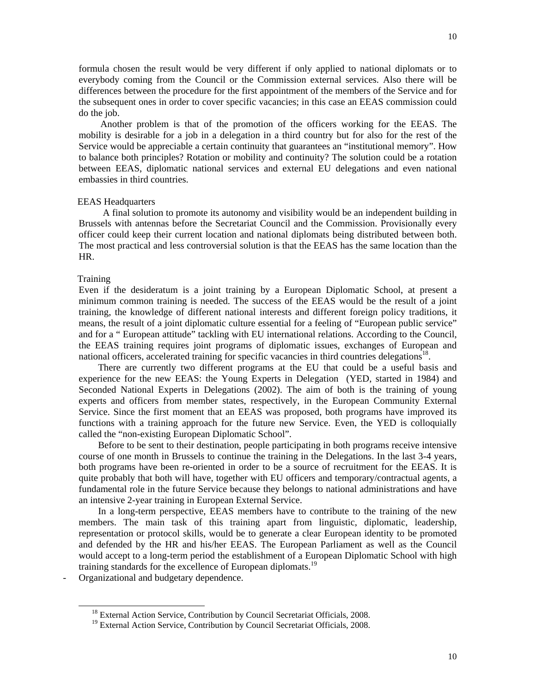formula chosen the result would be very different if only applied to national diplomats or to everybody coming from the Council or the Commission external services. Also there will be differences between the procedure for the first appointment of the members of the Service and for the subsequent ones in order to cover specific vacancies; in this case an EEAS commission could do the job.

 Another problem is that of the promotion of the officers working for the EEAS. The mobility is desirable for a job in a delegation in a third country but for also for the rest of the Service would be appreciable a certain continuity that guarantees an "institutional memory". How to balance both principles? Rotation or mobility and continuity? The solution could be a rotation between EEAS, diplomatic national services and external EU delegations and even national embassies in third countries.

# EEAS Headquarters

 A final solution to promote its autonomy and visibility would be an independent building in Brussels with antennas before the Secretariat Council and the Commission. Provisionally every officer could keep their current location and national diplomats being distributed between both. The most practical and less controversial solution is that the EEAS has the same location than the HR.

#### **Training**

 $\overline{a}$ 

Even if the desideratum is a joint training by a European Diplomatic School, at present a minimum common training is needed. The success of the EEAS would be the result of a joint training, the knowledge of different national interests and different foreign policy traditions, it means, the result of a joint diplomatic culture essential for a feeling of "European public service" and for a " European attitude" tackling with EU international relations. According to the Council, the EEAS training requires joint programs of diplomatic issues, exchanges of European and national officers, accelerated training for specific vacancies in third countries delegations<sup>18</sup>.

 There are currently two different programs at the EU that could be a useful basis and experience for the new EEAS: the Young Experts in Delegation (YED, started in 1984) and Seconded National Experts in Delegations (2002). The aim of both is the training of young experts and officers from member states, respectively, in the European Community External Service. Since the first moment that an EEAS was proposed, both programs have improved its functions with a training approach for the future new Service. Even, the YED is colloquially called the "non-existing European Diplomatic School".

 Before to be sent to their destination, people participating in both programs receive intensive course of one month in Brussels to continue the training in the Delegations. In the last 3-4 years, both programs have been re-oriented in order to be a source of recruitment for the EEAS. It is quite probably that both will have, together with EU officers and temporary/contractual agents, a fundamental role in the future Service because they belongs to national administrations and have an intensive 2-year training in European External Service.

 In a long-term perspective, EEAS members have to contribute to the training of the new members. The main task of this training apart from linguistic, diplomatic, leadership, representation or protocol skills, would be to generate a clear European identity to be promoted and defended by the HR and his/her EEAS. The European Parliament as well as the Council would accept to a long-term period the establishment of a European Diplomatic School with high training standards for the excellence of European diplomats.<sup>19</sup>

Organizational and budgetary dependence.

<sup>&</sup>lt;sup>18</sup> External Action Service, Contribution by Council Secretariat Officials, 2008.

<sup>&</sup>lt;sup>19</sup> External Action Service, Contribution by Council Secretariat Officials, 2008.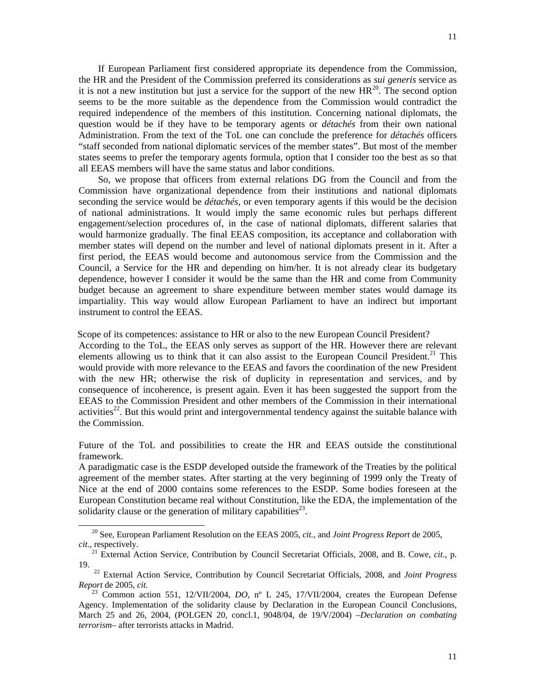If European Parliament first considered appropriate its dependence from the Commission, the HR and the President of the Commission preferred its considerations as *sui generis* service as it is not a new institution but just a service for the support of the new  $HR^{20}$ . The second option seems to be the more suitable as the dependence from the Commission would contradict the required independence of the members of this institution. Concerning national diplomats, the question would be if they have to be temporary agents or *détachés* from their own national Administration. From the text of the ToL one can conclude the preference for *détachés* officers "staff seconded from national diplomatic services of the member states". But most of the member states seems to prefer the temporary agents formula, option that I consider too the best as so that all EEAS members will have the same status and labor conditions.

 So, we propose that officers from external relations DG from the Council and from the Commission have organizational dependence from their institutions and national diplomats seconding the service would be *détachés*, or even temporary agents if this would be the decision of national administrations. It would imply the same economic rules but perhaps different engagement/selection procedures of, in the case of national diplomats, different salaries that would harmonize gradually. The final EEAS composition, its acceptance and collaboration with member states will depend on the number and level of national diplomats present in it. After a first period, the EEAS would become and autonomous service from the Commission and the Council, a Service for the HR and depending on him/her. It is not already clear its budgetary dependence, however I consider it would be the same than the HR and come from Community budget because an agreement to share expenditure between member states would damage its impartiality. This way would allow European Parliament to have an indirect but important instrument to control the EEAS.

Scope of its competences: assistance to HR or also to the new European Council President?

According to the ToL, the EEAS only serves as support of the HR. However there are relevant elements allowing us to think that it can also assist to the European Council President.<sup>21</sup> This would provide with more relevance to the EEAS and favors the coordination of the new President with the new HR; otherwise the risk of duplicity in representation and services, and by consequence of incoherence, is present again. Even it has been suggested the support from the EEAS to the Commission President and other members of the Commission in their international activities<sup>22</sup>. But this would print and intergovernmental tendency against the suitable balance with the Commission.

Future of the ToL and possibilities to create the HR and EEAS outside the constitutional framework.

A paradigmatic case is the ESDP developed outside the framework of the Treaties by the political agreement of the member states. After starting at the very beginning of 1999 only the Treaty of Nice at the end of 2000 contains some references to the ESDP. Some bodies foreseen at the European Constitution became real without Constitution, like the EDA, the implementation of the solidarity clause or the generation of military capabilities<sup>23</sup>.

20 See, European Parliament Resolution on the EEAS 2005, *cit.*, and *Joint Progress Report* de 2005, *cit*., respectively.

21 External Action Service, Contribution by Council Secretariat Officials, 2008, and B. Cowe, *cit*., p. 19.

22 External Action Service, Contribution by Council Secretariat Officials, 2008, and *Joint Progress Report* de 2005, *cit.* 

<sup>&</sup>lt;sup>23</sup> Common action 551, 12/VII/2004, *DO*, n<sup>o</sup> L 245, 17/VII/2004, creates the European Defense Agency. Implementation of the solidarity clause by Declaration in the European Council Conclusions, March 25 and 26, 2004, (POLGEN 20, concl.1, 9048/04, de 19/V/2004) –*Declaration on combating terrorism*– after terrorists attacks in Madrid.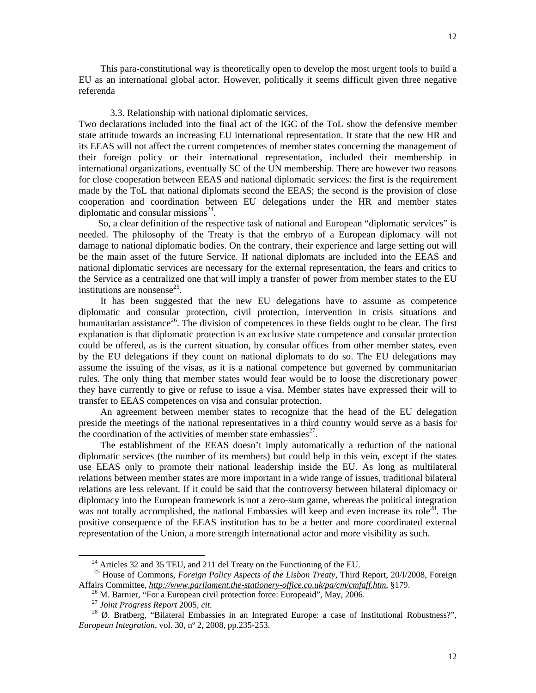This para-constitutional way is theoretically open to develop the most urgent tools to build a EU as an international global actor. However, politically it seems difficult given three negative referenda

#### 3.3. Relationship with national diplomatic services,

Two declarations included into the final act of the IGC of the ToL show the defensive member state attitude towards an increasing EU international representation. It state that the new HR and its EEAS will not affect the current competences of member states concerning the management of their foreign policy or their international representation, included their membership in international organizations, eventually SC of the UN membership. There are however two reasons for close cooperation between EEAS and national diplomatic services: the first is the requirement made by the ToL that national diplomats second the EEAS; the second is the provision of close cooperation and coordination between EU delegations under the HR and member states diplomatic and consular missions $^{24}$ .

 So, a clear definition of the respective task of national and European "diplomatic services" is needed. The philosophy of the Treaty is that the embryo of a European diplomacy will not damage to national diplomatic bodies. On the contrary, their experience and large setting out will be the main asset of the future Service. If national diplomats are included into the EEAS and national diplomatic services are necessary for the external representation, the fears and critics to the Service as a centralized one that will imply a transfer of power from member states to the EU institutions are nonsense<sup>25</sup>.

 It has been suggested that the new EU delegations have to assume as competence diplomatic and consular protection, civil protection, intervention in crisis situations and humanitarian assistance<sup>26</sup>. The division of competences in these fields ought to be clear. The first explanation is that diplomatic protection is an exclusive state competence and consular protection could be offered, as is the current situation, by consular offices from other member states, even by the EU delegations if they count on national diplomats to do so. The EU delegations may assume the issuing of the visas, as it is a national competence but governed by communitarian rules. The only thing that member states would fear would be to loose the discretionary power they have currently to give or refuse to issue a visa. Member states have expressed their will to transfer to EEAS competences on visa and consular protection.

 An agreement between member states to recognize that the head of the EU delegation preside the meetings of the national representatives in a third country would serve as a basis for the coordination of the activities of member state embassies $^{27}$ .

 The establishment of the EEAS doesn't imply automatically a reduction of the national diplomatic services (the number of its members) but could help in this vein, except if the states use EEAS only to promote their national leadership inside the EU. As long as multilateral relations between member states are more important in a wide range of issues, traditional bilateral relations are less relevant. If it could be said that the controversy between bilateral diplomacy or diplomacy into the European framework is not a zero-sum game, whereas the political integration was not totally accomplished, the national Embassies will keep and even increase its role<sup> $28$ </sup>. The positive consequence of the EEAS institution has to be a better and more coordinated external representation of the Union, a more strength international actor and more visibility as such.

 $^{24}$  Articles 32 and 35 TEU, and 211 del Treaty on the Functioning of the EU.

25 House of Commons, *Foreign Policy Aspects of the Lisbon Treaty*, Third Report, 20/I/2008, Foreign Affairs Committee, *http://www.parliament.the-stationery-office.co.uk/pa/cm/cmfaff.htm*, §179.

 $^{26}$  M. Barnier, "For a European civil protection force: Europeaid", May, 2006.

<sup>27</sup> *Joint Progress Report* 2005, *cit*.

28 Ø. Bratberg, "Bilateral Embassies in an Integrated Europe: a case of Institutional Robustness?", *European Integration*, vol. 30, nº 2, 2008, pp.235-253.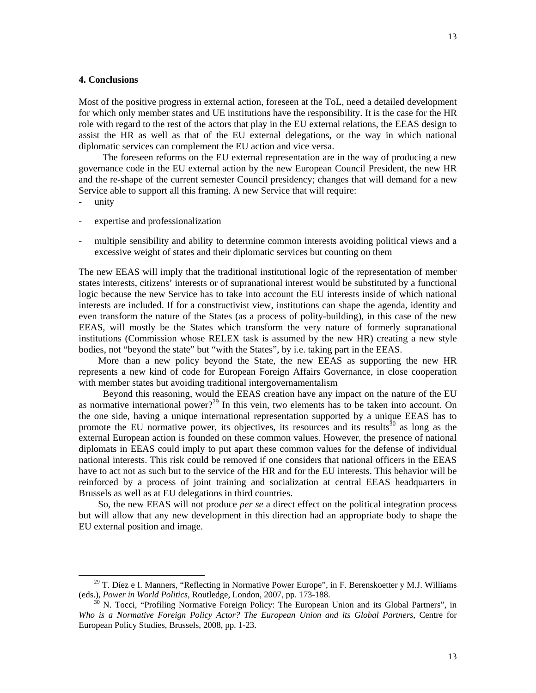### **4. Conclusions**

Most of the positive progress in external action, foreseen at the ToL, need a detailed development for which only member states and UE institutions have the responsibility. It is the case for the HR role with regard to the rest of the actors that play in the EU external relations, the EEAS design to assist the HR as well as that of the EU external delegations, or the way in which national diplomatic services can complement the EU action and vice versa.

 The foreseen reforms on the EU external representation are in the way of producing a new governance code in the EU external action by the new European Council President, the new HR and the re-shape of the current semester Council presidency; changes that will demand for a new Service able to support all this framing. A new Service that will require:

unity

 $\overline{a}$ 

- expertise and professionalization
- multiple sensibility and ability to determine common interests avoiding political views and a excessive weight of states and their diplomatic services but counting on them

The new EEAS will imply that the traditional institutional logic of the representation of member states interests, citizens' interests or of supranational interest would be substituted by a functional logic because the new Service has to take into account the EU interests inside of which national interests are included. If for a constructivist view, institutions can shape the agenda, identity and even transform the nature of the States (as a process of polity-building), in this case of the new EEAS, will mostly be the States which transform the very nature of formerly supranational institutions (Commission whose RELEX task is assumed by the new HR) creating a new style bodies, not "beyond the state" but "with the States", by i.e. taking part in the EEAS.

 More than a new policy beyond the State, the new EEAS as supporting the new HR represents a new kind of code for European Foreign Affairs Governance, in close cooperation with member states but avoiding traditional intergovernamentalism

 Beyond this reasoning, would the EEAS creation have any impact on the nature of the EU as normative international power?<sup>29</sup> In this vein, two elements has to be taken into account. On the one side, having a unique international representation supported by a unique EEAS has to promote the EU normative power, its objectives, its resources and its results<sup>30</sup> as long as the external European action is founded on these common values. However, the presence of national diplomats in EEAS could imply to put apart these common values for the defense of individual national interests. This risk could be removed if one considers that national officers in the EEAS have to act not as such but to the service of the HR and for the EU interests. This behavior will be reinforced by a process of joint training and socialization at central EEAS headquarters in Brussels as well as at EU delegations in third countries.

 So, the new EEAS will not produce *per se* a direct effect on the political integration process but will allow that any new development in this direction had an appropriate body to shape the EU external position and image.

 $29$  T. Díez e I. Manners, "Reflecting in Normative Power Europe", in F. Berenskoetter y M.J. Williams (eds.), *Power in World Politics,* Routledge, London, 2007, pp. 173-188.

<sup>&</sup>lt;sup>30</sup> N. Tocci, "Profiling Normative Foreign Policy: The European Union and its Global Partners", in *Who is a Normative Foreign Policy Actor? The European Union and its Global Partners*, Centre for European Policy Studies, Brussels, 2008, pp. 1-23.